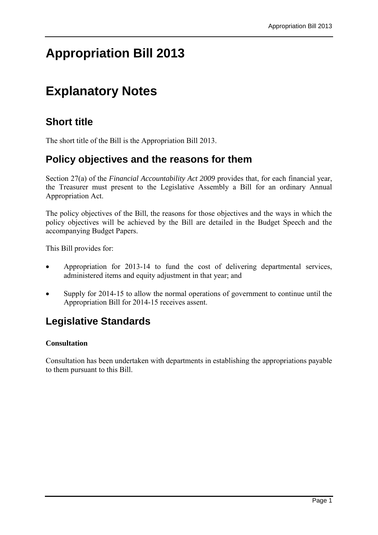# **Appropriation Bill 2013**

## **Explanatory Notes**

#### **Short title**

The short title of the Bill is the Appropriation Bill 2013.

#### **Policy objectives and the reasons for them**

Section 27(a) of the *Financial Accountability Act 2009* provides that, for each financial year, the Treasurer must present to the Legislative Assembly a Bill for an ordinary Annual Appropriation Act.

The policy objectives of the Bill, the reasons for those objectives and the ways in which the policy objectives will be achieved by the Bill are detailed in the Budget Speech and the accompanying Budget Papers.

This Bill provides for:

- Appropriation for 2013-14 to fund the cost of delivering departmental services, administered items and equity adjustment in that year; and
- Supply for 2014-15 to allow the normal operations of government to continue until the Appropriation Bill for 2014-15 receives assent.

### **Legislative Standards**

#### **Consultation**

Consultation has been undertaken with departments in establishing the appropriations payable to them pursuant to this Bill.